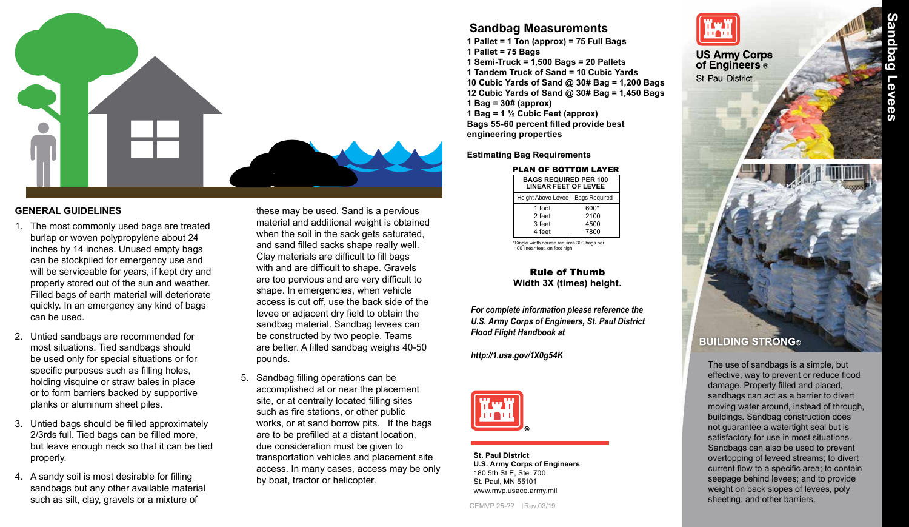

#### **GENERAL GUIDELINES**

- 1. The most commonly used bags are treated burlap or woven polypropylene about 24 inches by 14 inches. Unused empty bags can be stockpiled for emergency use and will be serviceable for years, if kept dry and properly stored out of the sun and weather. Filled bags of earth material will deteriorate quickly. In an emergency any kind of bags can be used.
- 2. Untied sandbags are recommended for most situations. Tied sandbags should be used only for special situations or for specific purposes such as filling holes, holding visquine or straw bales in place or to form barriers backed by supportive planks or aluminum sheet piles.
- 3. Untied bags should be filled approximately 2/3rds full. Tied bags can be filled more, but leave enough neck so that it can be tied properly.
- 4. A sandy soil is most desirable for filling sandbags but any other available material such as silt, clay, gravels or a mixture of

these may be used. Sand is a pervious material and additional weight is obtained when the soil in the sack gets saturated, and sand filled sacks shape really well. Clay materials are difficult to fill bags with and are difficult to shape. Gravels are too pervious and are very difficult to shape. In emergencies, when vehicle access is cut off, use the back side of the levee or adjacent dry field to obtain the sandbag material. Sandbag levees can be constructed by two people. Teams are better. A filled sandbag weighs 40-50 pounds.

5. Sandbag filling operations can be accomplished at or near the placement site, or at centrally located filling sites such as fire stations, or other public works, or at sand borrow pits. If the bags are to be prefilled at a distant location, due consideration must be given to transportation vehicles and placement site access. In many cases, access may be only by boat, tractor or helicopter.

# **Sandbag Measurements**

**1 Pallet = 1 Ton (approx) = 75 Full Bags 1 Pallet = 75 Bags 1 Semi-Truck = 1,500 Bags = 20 Pallets 1 Tandem Truck of Sand = 10 Cubic Yards 10 Cubic Yards of Sand @ 30# Bag = 1,200 Bags 12 Cubic Yards of Sand @ 30# Bag = 1,450 Bags 1 Bag = 30# (approx) 1 Bag = 1 ½ Cubic Feet (approx) Bags 55-60 percent filled provide best engineering properties**

**Estimating Bag Requirements**

#### **BAGS REQUIRED PER 100** PLAN OF BOTTOM LAYER

| <b>BAGS REQUIRED FER 100</b><br><b>LINEAR FEET OF LEVEE</b> |                      |
|-------------------------------------------------------------|----------------------|
| Height Above Levee                                          | <b>Bags Required</b> |
| 1 foot                                                      | 600*                 |
| 2 feet                                                      | 2100                 |
| 3 feet                                                      | 4500                 |
| 4 feet                                                      | 7800                 |

Single width course requires 300 bags pe 100 linear feet, on foot high

#### Rule of Thumb **Width 3X (times) height.**

*For complete information please reference the U.S. Army Corps of Engineers, St. Paul District Flood Flight Handbook at* 

*http://1.usa.gov/1X0g54K*



**St. Paul District U.S. Army Corps of Engineers** 180 5th St E, Ste. 700 St. Paul, MN 55101 www.mvp.usace.army.mil



**US Army Corps** of Engineers<sup>®</sup> **St Paul District** 



The use of sandbags is a simple, but effective, way to prevent or reduce flood damage. Properly filled and placed, sandbags can act as a barrier to divert moving water around, instead of through, buildings. Sandbag construction does not guarantee a watertight seal but is satisfactory for use in most situations. Sandbags can also be used to prevent overtopping of leveed streams; to divert current flow to a specific area; to contain seepage behind levees; and to provide weight on back slopes of levees, poly sheeting, and other barriers.